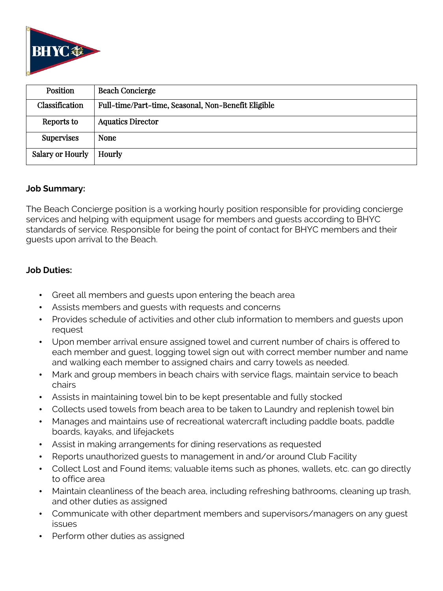

| Position                | <b>Beach Concierge</b>                              |
|-------------------------|-----------------------------------------------------|
| Classification          | Full-time/Part-time, Seasonal, Non-Benefit Eligible |
| Reports to              | <b>Aquatics Director</b>                            |
| <b>Supervises</b>       | <b>None</b>                                         |
| <b>Salary or Hourly</b> | Hourly                                              |

## **Job Summary:**

The Beach Concierge position is a working hourly position responsible for providing concierge services and helping with equipment usage for members and guests according to BHYC standards of service. Responsible for being the point of contact for BHYC members and their guests upon arrival to the Beach.

## **Job Duties:**

- Greet all members and guests upon entering the beach area
- Assists members and guests with requests and concerns
- Provides schedule of activities and other club information to members and guests upon request
- Upon member arrival ensure assigned towel and current number of chairs is offered to each member and guest, logging towel sign out with correct member number and name and walking each member to assigned chairs and carry towels as needed.
- Mark and group members in beach chairs with service flags, maintain service to beach chairs
- Assists in maintaining towel bin to be kept presentable and fully stocked
- Collects used towels from beach area to be taken to Laundry and replenish towel bin
- Manages and maintains use of recreational watercraft including paddle boats, paddle boards, kayaks, and lifejackets
- Assist in making arrangements for dining reservations as requested
- Reports unauthorized guests to management in and/or around Club Facility
- Collect Lost and Found items; valuable items such as phones, wallets, etc. can go directly to office area
- Maintain cleanliness of the beach area, including refreshing bathrooms, cleaning up trash, and other duties as assigned
- Communicate with other department members and supervisors/managers on any guest issues
- Perform other duties as assigned